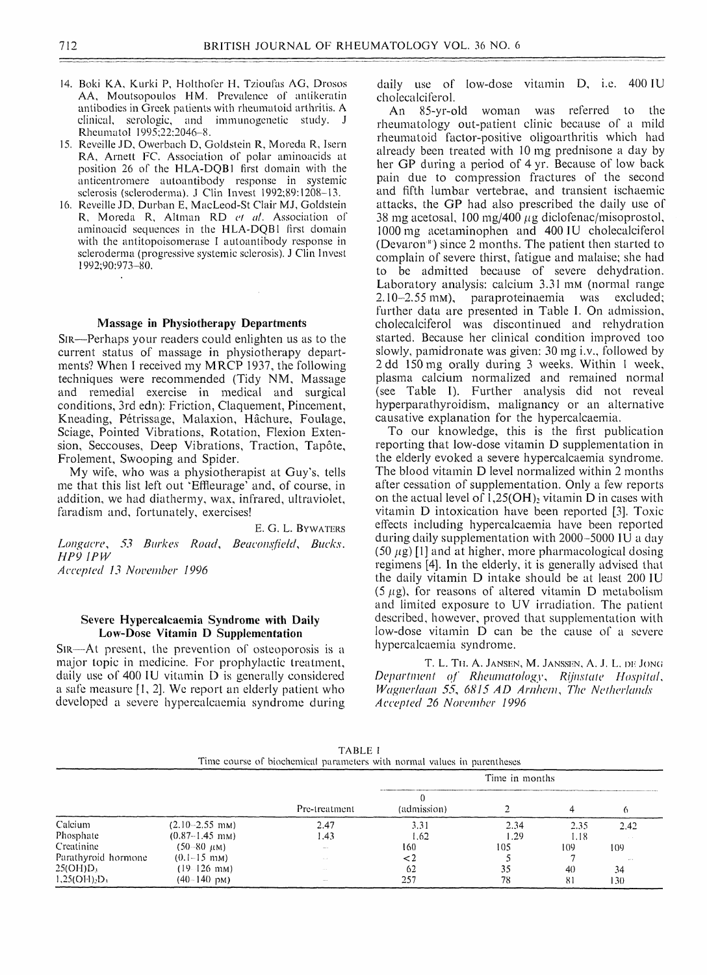### **712 BRITISH JOURNAL OF RHEUMATOLOGY VOL. 36 NO. 6**

--------------------------------" - -------------------------*a-a'-a.*

- **14. Boki KA, Kurki P, Holtholer H, Tzioufas AG, Drosos AA, Moutsopoulos HM. Prevalence of antikeratin antibodies in Greek patients with rheumatoid arthritis. A and immunogenetic study. J Rheumatol 1995;22:2046-8.**
- **15. Reveille JD, Owerbach D, Goldstein R, Moreda R, Isern RA, Arnett FC. Association of polar aminoacids at** position 26 of the HLA-DQB1 first domain with the **anticentromere autoantibody response in sclerosis (scleroderma). J Clin Invest 1992;89:1208-13.**
- **16. Reveille JD, Durban E, MacLeod-St Clair MJ, Goldstein R, Moreda R, Altman RD** *et al.* **nation of aminoacid sequences in the HLA-DQB1 first domain with the antitopoisomerase I autoantibody response in**

daily use of low-dose vitamin D, i.e. 400 IU **cholecalcilerol.**

**scleroderma (progressive systemic sclerosis). J Clin Invest 1992;90:973-80.**

My wife, who was a physiotherapist at Guy's, tells **me that this list left out "Effieurage' and, of course, in addition, we had diathermy, wax, infrared, ultraviolet, faradism and, fortunately, exercises!**

E. G. L. BYWATERS

Longacre, 53 Burkes Road, Beaconsfield, Bucks. *HP9 1PW Accepted 13 November 1996*

**Sir— A t present, the prevention of osteoporosis is a major topic in medicine. For prophylactic treatment,** daily use of 400 IU vitamin D is generally considered **a safe measure [1, 2]. We report an elderly patient who** developed a severe hypercalcaemia syndrome during

# **Massage in Physiotherapy Departments**

**Sir— Perhaps your readers could enlighten us as to the current status of massage in physiotherapy depart**ments? When I received my MRCP 1937, the following **techniques were recommended (Tidy NM, Massage and remedial exercise in medical and surgical conditions, 3rd edn): Friction, Claquement, Pincement, Kneading, Petrissage, Malaxion, Hachure, Foulage, Sciage, Pointed Vibrations, Rotation, Flexion Extension, Seccouses, Deep Vibrations, Traction, Tapote, Frolement, Swooping and Spider.**

# **Severe Hypercalcaemia Syndrome with Daily Low-Dose Vitamin D Supplementation**

**An 85-yr-old woman was referred to the** rheumatology out-patient clinic because of a mild **rheumatoid factor-positive oligoarthritis which had already been treated with 10 mg prednisone a day by** her GP during a period of 4 yr. Because of low back **pain due to compression fractures of the second and fifth lumbar vertebrae, and transient ischaemic attacks, the GP had also prescribed the daily use of** 38 mg acetosal, 100 mg/400  $\mu$ g diclofenac/misoprostol, **1000 mg acetaminophen and 400 IU cholecalciferol (Devaron") since 2 months. The patient then started to complain of severe thirst, fatigue and malaise; she had to be admitted because of severe dehydration. Laboratory analysis: calcium 3.31 mM (normal range 2.10-2.55 mM), paraproteinaemia was excluded; further data are presented in Table I. On admission, was discontinued and rehydration started. Because her clinical condition improved too slowly, pamidronate was given: 30 mg i.v., followed by 2 dd 150 mg orally during 3 weeks. Within 1 week, plasma calcium normalized and remained normal (see Table I). Further analysis did not reveal hyperparathyroidism, malignancy or an alternative causative explanation for the hypercalcaemia. To our knowledge, this is the first publication reporting that low-dose vitamin D supplementation in the elderly evoked a severe hypercalcaemia syndrome. The blood vitamin D level normalized within 2 months** after cessation of supplementation. Only a few reports on the actual level of  $1,25(OH)_2$  vitamin D in cases with **vitamin D intoxication have been reported [3]. Toxic effects including hypercalcaemia have been during daily supplementation with 2000 -5000 IU a day (50** *fig)* **[1] and at higher, more pharmacological dosing regimens [4]. In the elderly, it is generally advised that the daily vitamin D intake should be at least 200 IU (5 /ig), for reasons of altered vitamin D metabolism and limited exposure to UV irradiation. The patient described, however, proved that supplementation with** low-dose vitamin D can be the cause of a severe **h y p e r c a 1 c a e m i a s y n d r o m e .**

**T. L. T il A. Jansen, M. Janssen, A. J. L. de** J ong *Department of Rheumatology*, *Rijnstate Hospital*, *Wagner!aan* **55,** *6815 AD Arnhem***,** *The Netherlands Accepted 26 November 1996*

#### **TABLE I**

**Time course of biochemical parameters with normal values in parentheses**

|                     |                         |               | Time in months |                 |              |                                 |
|---------------------|-------------------------|---------------|----------------|-----------------|--------------|---------------------------------|
|                     |                         | Pre-treatment | (admission)    |                 |              |                                 |
| Calcium             | $(2.10 - 2.55$ mM)      | 2.47          | 3.31           | 2.34            | 2.35         | 2.42                            |
| Phosphate           | $(0.87-1.45$ mM)        | .43           | 1.62           | 1.29            | 1.18         |                                 |
| Creatinine          | $(50-80 \ \mu M)$       | <b>AMM 10</b> | 160            | 105             | $\vert$ ()() | 1()9                            |
| Parathyroid hormone | $(0.1 - 15 \text{ mm})$ | المستنبط      |                |                 |              | $\sim 10^{-10}$ $\rm M_{\odot}$ |
| $25(OH)D_3$         | $(19 - 126$ mm)         |               | 62             | $\bigcap$<br>35 | 4()          | 34                              |
| $1,25(O1)_{2}D_{3}$ | $(40 - 140)$ pM)        | $- - -$       | 257            | 78              | 81           | (30)                            |